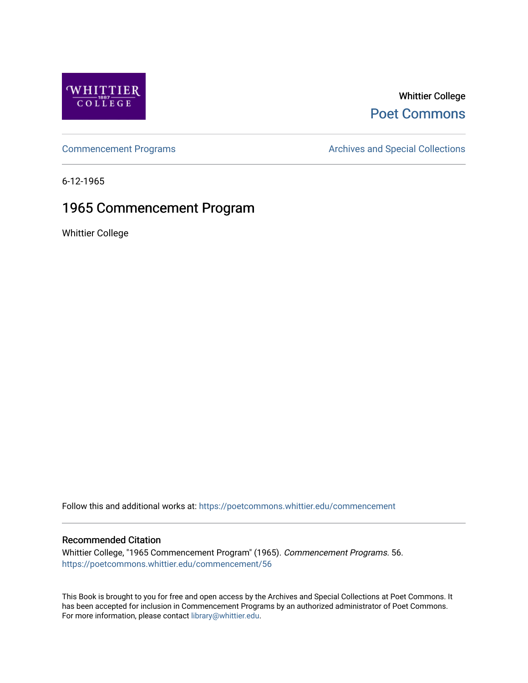

### Whittier College [Poet Commons](https://poetcommons.whittier.edu/)

[Commencement Programs](https://poetcommons.whittier.edu/commencement) **Archives and Special Collections** Archives and Special Collections

6-12-1965

## 1965 Commencement Program

Whittier College

Follow this and additional works at: [https://poetcommons.whittier.edu/commencement](https://poetcommons.whittier.edu/commencement?utm_source=poetcommons.whittier.edu%2Fcommencement%2F56&utm_medium=PDF&utm_campaign=PDFCoverPages) 

#### Recommended Citation

Whittier College, "1965 Commencement Program" (1965). Commencement Programs. 56. [https://poetcommons.whittier.edu/commencement/56](https://poetcommons.whittier.edu/commencement/56?utm_source=poetcommons.whittier.edu%2Fcommencement%2F56&utm_medium=PDF&utm_campaign=PDFCoverPages)

This Book is brought to you for free and open access by the Archives and Special Collections at Poet Commons. It has been accepted for inclusion in Commencement Programs by an authorized administrator of Poet Commons. For more information, please contact [library@whittier.edu.](mailto:library@whittier.edu)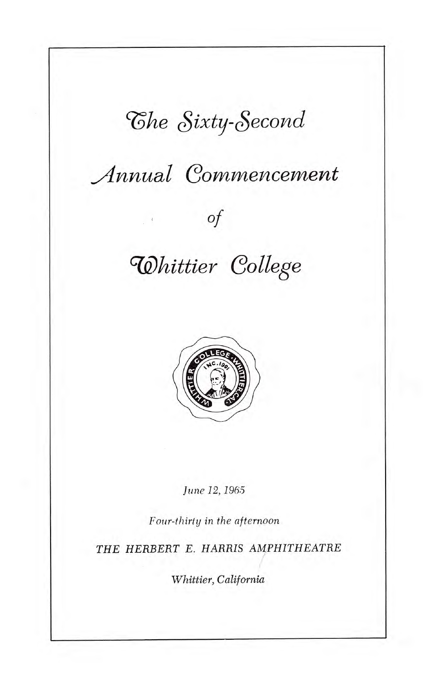## 'The Sixty-Second

## Annual Commencement

### Of

# **Whittier College**



June 12, 1965

Four-thirty in the afternoon

THE HERBERT E. HARRIS AMPHITHEATRE

Whittier, California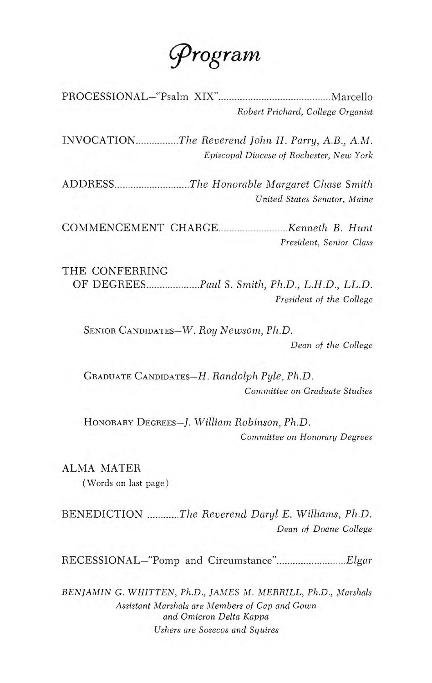q)rograw

PROCESSIONAL—"Psalm XIX" Marceflo Robert Prichard, College Organist

INVOCATION.................The Reverend John H. Parry, A.B., A.M. Episcopal Diocese of Rochester, New York

ADDRESS...........................The Honorable Margaret Chase Smith United States Senator, Maine

COMMENCEMENT CHARGE Kenneth B. Hunt President, Senior Class

THE CONFERRING OF DEGREES Paul S. Smith, Ph.D., L.H.D., LL.D. President of the College

SENIOR CANDIDATES—W. Roy Newsom, Ph.D.

Dean of the College

GRADUATE CANDIDATES—H. Randolph Pyle, Ph.D. Committee on Graduate Studies

HONORARY DEGREES—J. William Robinson, Ph.D. Committee on Honorary Degrees

ALMA MATER

(Words on last page)

BENEDICTION ............The Reverend Daryl E. Williams, Ph.D. Dean of Doane College

RECESSIONAL-"Pomp and Circumstance"................................Elgar

BENJAMIN G. WHITTEN, Ph.D., JAMES M. MERRILL, Ph.D., Marshals Assistant Marshals are Members of Cap and Gown and Omicron Delta Kappa Ushers are Sosecos and Squires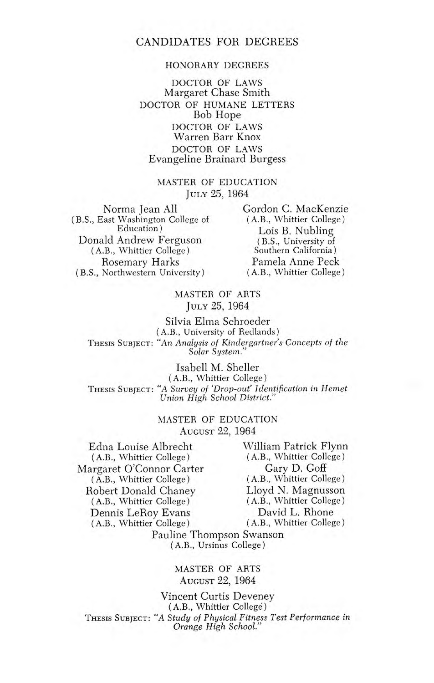#### HONORARY DEGREES

DOCTOR OF LAWS Margaret Chase Smith DOCTOR OF HUMANE LETTERS Bob Hope DOCTOR OF LAWS Warren Barr Knox DOCTOR OF LAWS Evangeline Brainard Burgess

#### MASTER OF EDUCATION JULY 25, 1964

Norma Jean All (B.S., East Washington College of Education) Donald Andrew Ferguson (A.B., Whittier College) Rosemary Harks (B.S., Northwestern University)

Gordon C. MacKenzie (A.B., Whittier College) Lois B. Nubling (B.S., University of Southern California) Pamela Anne Peck (A.B., Whittier College)

#### MASTER OF ARTS JULY 25, 1964

Silvia Elma Schroeder (A.B., University of Redlands) THESIS SUBJECT: "An Analysis of Kindergartner's Concepts of the Solar System."

Isabell M. Sheller (A.B., Whittier College) THESIS SUBJECT: "A Survey of 'Drop-out' Identification in Hemet Union High School District."

#### MASTER OF EDUCATION AUGUST 22, 1964

Edna Louise Albrecht (A.B., Whittier College) Margaret O'Connor Carter (A.B., Whittier College) Robert Donald Chaney (A.B., Whittier College) Dennis LeRoy Evans (A.B., Whittier College)

William Patrick Flynn (A.B., Whittier College) Gary D. Goff (A.B., Whittier College) Lloyd N. Magnusson (A.B., Whittier College) David L. Rhone (A.B., Whittier College)

Pauline Thompson Swanson (A.B., Ursinus College)

#### MASTER OF ARTS AUGUST 22, 1964

Vincent Curtis Deveney (A.B., Whittier College) THESIS SUBJECT: "A Study of Physical Fitness Test Performance in Orange High School."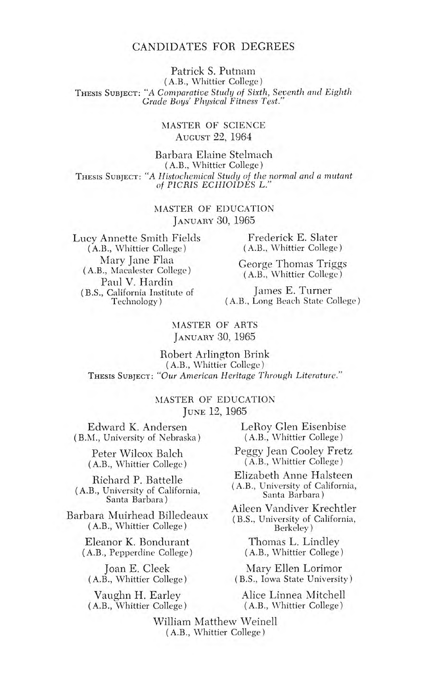Patrick S. Putnam

(A.B., Whittier College) THESIS SUBJECT: "A Comparative Study of Sixth, Seventh and Eighth Grade Boys' Physical Fitness Test."

#### MASTER OF SCIENCE AUGUST 22, 1964

Barbara Elaine Stelmach (A.B., Whittier College) THESIS SUBJECT: "A Histochemical Study of the normal and a mutant of PICRIS ECH1OIDES L."

> MASTER OF EDUCATION JANUARY 30, 1965

Lucy Annette Smith Fields (A.B., Whittier College) Mary Jane Flaa (A.B., Macalester College) Paul V. Hardin (B.S., California Institute of Technology)

Frederick E. Slater (A.B., Whittier College)

George Thomas Triggs (A.B., Whittier College)

James E. Turner (A.B., Long Beach State College)

#### MASTER OF ARTS JANUARY 30, 1965

Robert Arlington Brink (A.B., Whittier College) THESIS SUBJECT: "Our American Heritage Through Literature."

#### MASTER OF EDUCATION JUNE 12, 1965

Edward K. Andersen (B.M., University of Nebraska)

> Peter Wilcox Balch (A.B., Whittier College)

Richard P. Battelle (A.B., University of California, Santa Barbara)

Barbara Muirhead Billedeaux (A.B., Whittier College)

> Eleanor K. Bondurant (A.B., Pepperdine College)

Joan E. Cleek (A.B., Whittier College)

Vaughn H. Earley (A.B., Whittier College) LeRoy Glen Eisenbise (A.B., Whittier College)

Peggy Jean Cooley Fretz (A.B., Whittier College)

Elizabeth Anne Halsteen (A.B., University of California, Santa Barbara)

Aileen Vandiver Krechtler (B.S., University of California, Berkeley)

Thomas L. Lindley (A.B., Whittier College)

Mary Ellen Lorimor (B.S., Iowa State University)

> Alice Linnea Mitchell (A.B., Whittier College)

William Matthew Weinell (A.B., Whittier College)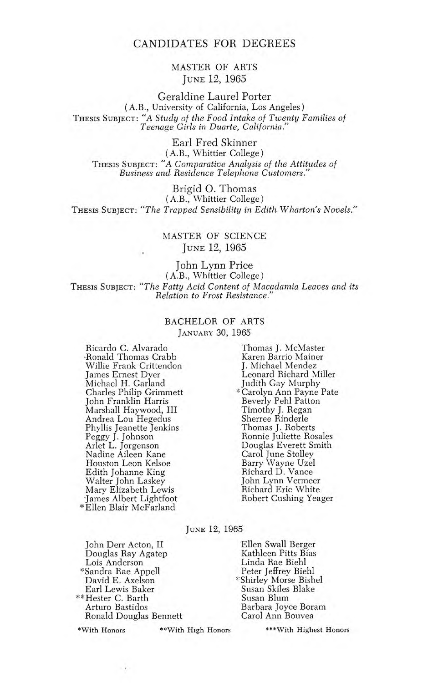#### MASTER OF ARTS JUNE 12, 1965

Geraldine Laurel Porter (A.B., University of California, Los Angeles) THESIS SUBJECT: "A Study of the Food Intake of Twenty Families of Teenage Girls in Duarte, California."

Earl Fred Skinner (A.B., Whittier College) THESIS SUBJECT: "A Comparative Analysis of the Attitudes of Business and Residence Telephone Customers."

Brigid 0. Thomas (A.B., Whittier College) THESIS SUBJECT: "The Trapped Sensibility in Edith Wharton's Novels."

#### MASTER OF SCIENCE JUNE 12, 1965

John Lynn Price (A.B., Whittier College) THESIS SUBJECT: "The Fatty Acid Content of Macadamia Leaves and its Relation to Frost Resistance."

#### BACHELOR OF ARTS JANUARY 30, 1965

Ricardo C. Alvarado .Ronald Thomas Crabb Willie Frank Crittendon James Ernest Dyer Michael H. Garland Charles Philip Grimmett John Franklin Harris Marshall Haywood, III Andrea Lou Hegedus Phyllis Jeanette Jenkins Peggy J. Johnson Arlet L. Jorgenson Nadine Aileen Kane Houston Leon Kelsoe Edith Johanne King Walter John Laskey Mary Elizabeth Lewis -James Albert Lightfoot \*Ellen Blair McFarland

Thomas J. McMaster Karen Barrio Mainer J. Michael Mendez Leonard Richard Miller Judith Gay Murphy Beverly Pehl Patton Timothy J. Regan Sherree Rinderle Thomas J. Roberts Ronnie Juliette Rosales Douglas Everett Smith Carol June Stolley Barry Wayne Uzel Richard D. Vance John Lynn Vermeer Richard Eric White

JUNE 12, 1965

John Derr Acton, II Ellen Swall Berger Douglas Ray Agatep<br>Lois Anderson \*Sandra Rae Appell<br>David E. Axelson Earl Lewis Baker Susan Skiles Blake \*\*Hester C. Barth<br>Arturo Bastidos Ronald Douglas Bennett

\*With Honors \*\*With High Honors \*\*\*With Highest Honors

\* Carolyn Ann Payne Pate Robert Gushing Yeager

Linda Rae Biehl<br>Peter Jeffrey Biehl

\*Shirley Morse Bishel<br>Susan Skiles Blake

Barbara Joyce Boram<br>Carol Ann Bouvea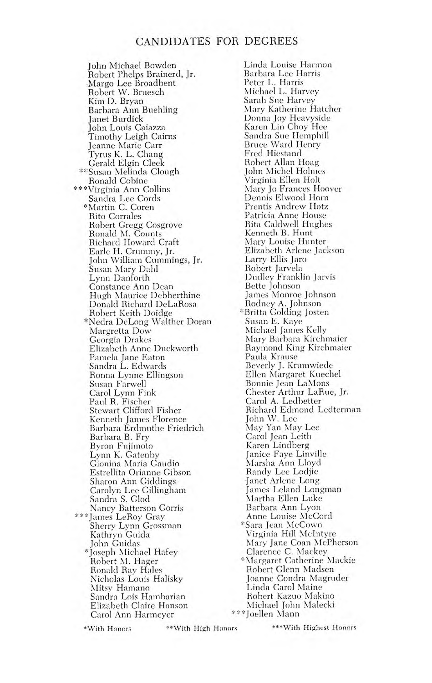John Michael Bowden Robert Phelps Brainerd, Jr. -Margo Lee Broadbent Robert W. Bruesch Kim D. Bryan Barbara Ann Buehling Janet Burdick John Louis Caiazza Timothy Leigh Cairns Jeanne Marie Carr Tyrus K. L. Chang Gerald Elgin Cleek \*\*Susan Melinda Clough Ronald Cobine \*\*\*Virginia Ann Collins Sandra Lee Cords \*Martin C. Coren Rito Corrales Robert Gregg Cosgrove Ronald M. Counts Richard Howard Craft Earle H. Crummy, Jr. John 'William Cummings, Jr. Susan Mary Dahl Lynn Danforth Constance Ann Dean Hugh Maurice Debberthine Donald Richard DeLaRosa Robert Keith Doidge \*Nedra DeLong Walther Doran Margretta Dow Georgia Drakes Elizabeth Anne Duckworth Pamela Jane Eaton Sandra L. Edwards Ronna Lynne Ellingson Susan Farwell Carol Lynn Fink Paul R. Fischer Stewart Clifford Fisher Kenneth James Florence Barbara Erdmuthe Friedrich Barbara B. Fry Byron Fujimoto Lynn K. Gatenhy Gionina Maria Gaudio Estrellita Orianne Gibson Sharon Ann Giddings Carolyn Lee Gillingham Sandra S. Clod Nancy Batterson Gorris \*\*\*James LeRoy Gray Sherry Lynn Grossman Kathryn Guida John Guidas \*Joseph Michael Hafey Robert M. Hager Ronald Ray Hales Nicholas Louis Halisky Mitsy Hamano Sandra Lois Hambarian Elizabeth Claire Hanson Carol Ann Harmeyer

Linda Louise Harmon Barbara Lee Harris Peter L. Harris Michael L. Harvey Sarah Sue Harvey Mary Katherine Hatcher Donna Joy Heavyside Karen Lin Choy Hee Sandra Sue Hemphill Bruce Ward Henry Fred Hiestand Robert Allan Hoag John Michel Holmes Virginia Ellen Holt Mary Jo Frances Hoover Dennis Elwood Horn Prentis Andrew Hotz Patricia Anne House Rita Caldwell Hughes Kenneth B. Hunt Mary Louise Hunter Elizabeth Arlene Jackson Larry Ellis Jaro Robert Jarvela Dudley Franklin Jarvis Bette Johnson James Monroe Johnson Rodney A. Johnson :Britta Golding Josten Susan E. Kaye Michael James Kelly Mary Barbara Kirchmaier Raymond King Kirchmaier Paula Krause Beverly J. Krumwiede Ellen Margaret Kuechel Bonnie Jean LaMons Chester Arthur LaRue, Jr. Carol A. Ledbetter Richard Edmond Ledterman John W. Lee May Yan May Lee Carol Jean Leith Karen Lindberg Janice Faye Linville Marsha Ann Lloyd Randy Lee Lodjic -Janet Arlene Long James Leland Longman Martha Ellen Luke Barbara Ann Lyon Anne Louise McCord \*Sara Jean McCown Virginia Hill McIntyre Mary Jane Coan McPherson Clarence C. Mackey \*Margaret Catherine Mackie Robert Glenn Madsen Joanne Condra Magruder Linda Carol Maine Robert Kazuo Makino Michael John Malecki \*\*\*Joellen Mann

\*With Honors \*\*With High Honors \*\*\*With Highest Honors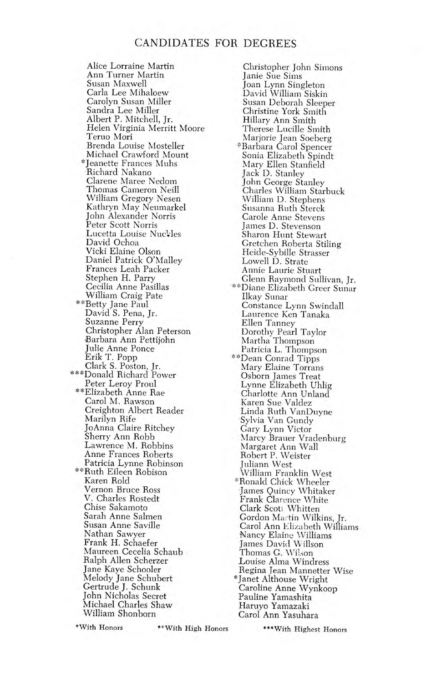Alice Lorraine Martin Ann Turner Martin Susan Maxwell Carla Lee Mihaloew Carolyn Susan Miller Sandra Lee Miller Albert P. Mitchell, Jr. Helen Virginia Merritt Moore Teruo Mon Brenda Louise Mosteller Michael Crawford Mount \*Jeanette Frances Mubs Richard Nakano Clarene Maree Nedom Thomas Cameron Neill William Gregory Nesen Kathryn May Neumarkel John Alexander Norris Peter Scott Norris Lucetta Louise Nucles David Ochoa Vicki Elaine Olson Daniel Patrick O'Malley Frances Leah Packer Stephen H. Parry Cecilia Anne Pasillas William Craig Pate \*\*Betty Jane Paul David S. Pena, Jr. Suzanne Perry Christopher Alan Peterson Barbara Ann Pettijohn Julie Anne Ponce Erik T. Popp Clark S. Poston, Jr. \*\*\*Donald Richard Power Peter Leroy Proul \*\*Elizabeth Anne Rae Carol M. Rawson Creighton Albert Reader Marilyn Rife JoAnna Claire Ritchey Sherry Ann Robb Lawrence M. Robbins Anne Frances Roberts Patricia Lynne Robinson \*\*Ruth Eileen Robison Karen Rold Vernon Bruce Ross V. Charles Rostedt Chise Sakamoto Sarah Anne Salmen Susan Anne Saville Nathan Sawyer Frank H. Schaefer Maureen Cecelia Schaub Ralph Allen Scherzer Jane Kaye Schooler Melody Jane Schubert Gertrude J. Schunk John Nicholas Secret Michael Charles Shaw William Shonborn

Christopher John Simons Janie Sue Sims Joan Lynn Singleton David William Siskin Susan Deborah Sleeper Christine York Smith Hillary Ann Smith Therese Lucille Smith Marjorie Jean Soeberg Barbara Carol Spencer Sonia Elizabeth Spindt Mary Ellen Stanfield Jack D. Stanley John George Stanley Charles William Starbuck William D. Stephens Susanna Ruth Sterck Carole Anne Stevens James D. Stevenson Sharon Hunt Stewart Gretchen Roberta Stiling Heide-Sybille Strasser Lowell D. Strate Annie Laurie Stuart Glenn Raymond Sullivan, Jr. '\*\*Diane Elizabeth Greer Sunar Ilkay Sunar Constance Lynn Swindall Laurence Ken Tanaka Ellen Tanney Dorothy Pearl Taylor Martha Thompson Patricia L. Thompson \*\*Dean Conrad Tipps Mary Elaine Torrans Osborn James Treat Lynne Elizabeth Uhlig Charlotte Ann Unland Karen Sue Valdez Linda Ruth VanDuyne Sylvia Van Gundy Gary Lynn Victor Marcy Brauer Vradenburg Margaret Ann Wall Robert P. Weister Juliann West William Franklin West \*Ronald Chick Wheeler James Quincy Whitaker Frank Clarence White Clark Scott Whitten Gordon Martin Wilkins, Jr. Carol Ann Elizabeth Williams Nancy Elaine Williams James David Willson Thomas G. Wilson Louise Alma Windress Regina Jean Mannetter Wise \*Janet Althouse Wright Caroline Anne Wynkoop Pauline Yamashita Haruyo Yamazaki Carol Ann Yasuhara

\*With Honors "With High Honors

\*\*\*With Highest Honors